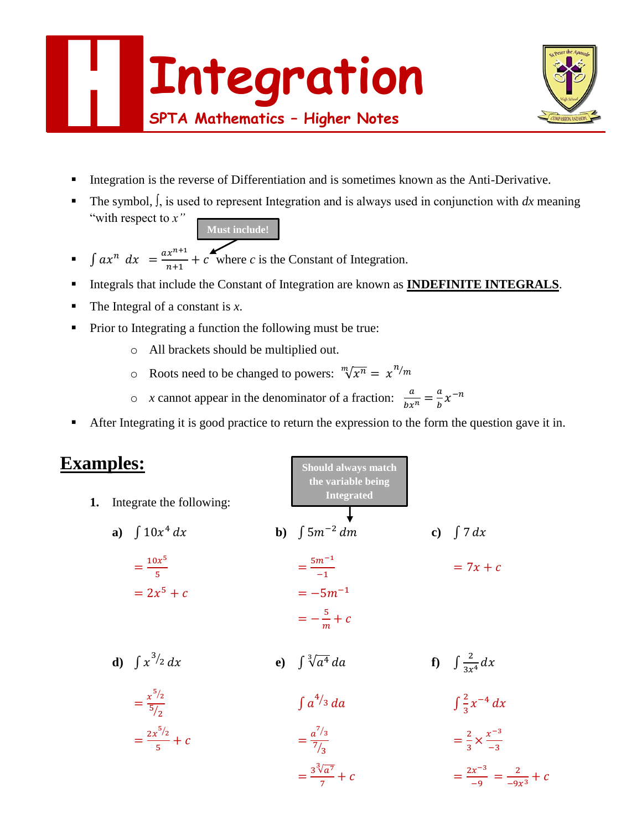



- Integration is the reverse of Differentiation and is sometimes known as the Anti-Derivative.
- The symbol, ∫, is used to represent Integration and is always used in conjunction with *dx* meaning "with respect to *x"*
	- **Must include!**
- $\int ax^n dx = \frac{ax^{n+1}}{x+1}$  $\frac{x}{n+1} + c$  where *c* is the Constant of Integration.
- Integrals that include the Constant of Integration are known as **INDEFINITE INTEGRALS**.
- $\blacksquare$  The Integral of a constant is *x*.
- Prior to Integrating a function the following must be true:
	- o All brackets should be multiplied out.
	- $\circ$  Roots need to be changed to powers:  $\sqrt[m]{x^n} = x^{n/m}$
	- $\circ$  *x* cannot appear in the denominator of a fraction:  $\frac{a}{bx^n} = \frac{a}{b}$  $\frac{a}{b}x^{-n}$
- After Integrating it is good practice to return the expression to the form the question gave it in.

**Should always match** 

# **Examples:**

| 1. | Integrate the following:     | the variable being<br><b>Integrated</b> |                                         |
|----|------------------------------|-----------------------------------------|-----------------------------------------|
|    | a) $\int 10x^4 dx$           | <b>b</b> ) $\int 5m^{-2} dm$            | c) $\int 7 dx$                          |
|    | $=\frac{10x^5}{5}$           | $=\frac{5m^{-1}}{-1}$                   | $= 7x + c$                              |
|    | $= 2x^5 + c$                 | $=-5m^{-1}$                             |                                         |
|    |                              | $=-\frac{5}{m}+c$                       |                                         |
|    | <b>d</b> ) $\int x^{3/2} dx$ | e) $\int \sqrt[3]{a^4} da$              | <b>f</b> ) $\int \frac{2}{3x^4} dx$     |
|    | $=\frac{x^{5/2}}{5/2}$       | $\int a^{4/3} da$                       | $\int \frac{2}{3}x^{-4} dx$             |
|    | $=\frac{2x^{5/2}}{5}+c$      | $=\frac{a^{7/3}}{7/2}$                  | $=\frac{2}{3}\times\frac{x^{-3}}{-3}$   |
|    |                              | $=\frac{3^{3}\sqrt{a^{7}}}{7}+c$        | $=\frac{2x^{-3}}{-9}=\frac{2}{-9x^3}+c$ |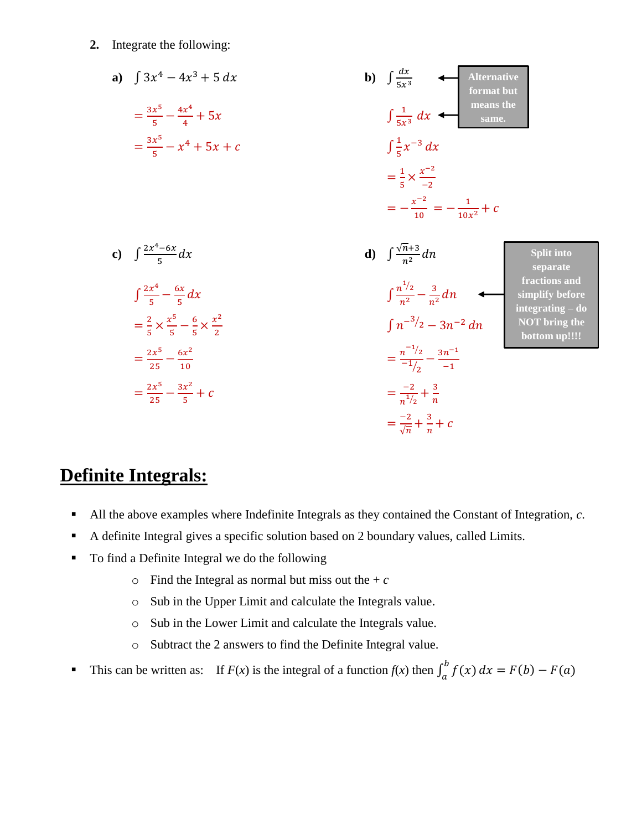**2.** Integrate the following:

a) 
$$
\int 3x^4 - 4x^3 + 5 dx
$$
  
\n
$$
= \frac{3x^5}{5} - \frac{4x^4}{4} + 5x
$$
  
\n
$$
= \frac{3x^5}{5} - x^4 + 5x + c
$$
  
\n
$$
= \frac{3x^5}{5} - x^4 + 5x + c
$$
  
\n
$$
= \frac{3x^5}{5} - x^4 + 5x + c
$$
  
\n
$$
\int \frac{1}{5x^3} dx
$$
  
\n
$$
= \frac{1}{5} \times \frac{x^{-2}}{-2}
$$
  
\n
$$
= -\frac{x^{-2}}{10} = -\frac{1}{10x^2} + c
$$
  
\nc) 
$$
\int \frac{2x^4 - 6x}{5} dx
$$
  
\n
$$
\int \frac{2x^4 - 6x}{5} dx
$$
  
\n
$$
\int \frac{2x^4 - 6x}{5} dx
$$
  
\n
$$
= \frac{2}{5} \times \frac{x^5}{5} - \frac{6}{5} \times \frac{x^2}{2}
$$
  
\n
$$
= \frac{2x^5}{25} - \frac{6x^2}{10}
$$
  
\n
$$
= \frac{2x^5}{25} - \frac{3x^2}{5} + c
$$
  
\n
$$
= \frac{-2}{5} \times \frac{3x^2}{5} + c
$$
  
\n
$$
= \frac{-2}{5} + \frac{3}{5} + c
$$
  
\n
$$
= \frac{-2}{5} + \frac{3}{5} + c
$$
  
\n
$$
= \frac{-2}{5} + \frac{3}{5} + c
$$
  
\n
$$
= \frac{-2}{5} + \frac{3}{5} + c
$$
  
\n
$$
= \frac{-2}{5} + \frac{3}{5} + c
$$
  
\n
$$
= \frac{-2}{5} + \frac{3}{5} + c
$$
  
\n
$$
= \frac{-2}{5} + \frac{3}{5} + c
$$
  
\n
$$
= \frac{-2}{5} + \frac{3}{5} + c
$$
  
\n
$$
= \frac{-2}{5} + \frac{3}{5} + c
$$
  
\n

# **Definite Integrals:**

- All the above examples where Indefinite Integrals as they contained the Constant of Integration, *c*.
- A definite Integral gives a specific solution based on 2 boundary values, called Limits.
- To find a Definite Integral we do the following
	- $\circ$  Find the Integral as normal but miss out the + *c*
	- o Sub in the Upper Limit and calculate the Integrals value.
	- o Sub in the Lower Limit and calculate the Integrals value.
	- o Subtract the 2 answers to find the Definite Integral value.
- This can be written as: If  $F(x)$  is the integral of a function  $f(x)$  then  $\int_a^b f(x) dx = F(b) F(a)$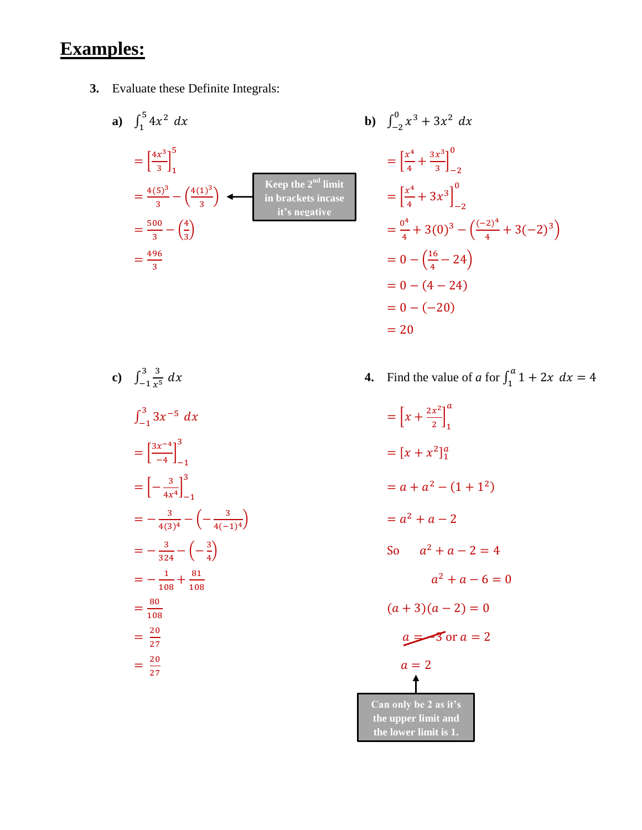# **Examples:**

**3.** Evaluate these Definite Integrals:

**a)** 
$$
\int_{1}^{5} 4x^{2} dx
$$
  
\n
$$
= \left[\frac{4x^{3}}{3}\right]_{1}^{5}
$$
\n
$$
= \frac{4(5)^{3}}{3} - \left(\frac{4(1)^{3}}{3}\right)
$$
\n
$$
= \frac{500}{3} - \left(\frac{4}{3}\right)
$$
\n
$$
= \frac{496}{3}
$$
\n**b)**  $\int_{-2}^{0} x dx$   
\n
$$
= \left[\frac{x^{2}}{4}\right]_{1}^{5}
$$
\n
$$
= \left[\frac{x^{2}}{4}\right]_{1}^{5}
$$
\n
$$
= \left[\frac{x^{2}}{4}\right]_{1}^{5}
$$
\n
$$
= \frac{500}{4} - \left(\frac{4}{3}\right) = 0
$$

$$
\int_{1}^{5} 4x^{2} dx
$$
\n
$$
= \left[\frac{4x^{3}}{3}\right]_{1}^{5}
$$
\n
$$
= \frac{4(5)^{3}}{3} - \left(\frac{4(1)^{3}}{3}\right)
$$
\n
$$
= \frac{500}{3} - \left(\frac{4}{3}\right)
$$
\n
$$
= \frac{500}{3} - \left(\frac{4}{3}\right)
$$
\n
$$
= \frac{496}{3}
$$
\n
$$
= 0 - \left(\frac{16}{4} - 24\right)
$$
\n
$$
= 0 - (-20)
$$
\n
$$
= 20
$$
\n
$$
= 20
$$
\nExample 20

c) 
$$
\int_{-1}^{3} \frac{3}{x^5} dx
$$
  
\n4. Find the  
\n $\int_{-1}^{3} 3x^{-5} dx$   
\n $= \left[\frac{3x^{-4}}{-4}\right]_{-1}^{3}$   
\n $= \left[-\frac{3}{4x^4}\right]_{-1}^{3}$   
\n $= -\frac{3}{4(3)^4} - \left(-\frac{3}{4(-1)^4}\right)$   
\n $= -\frac{3}{324} - \left(-\frac{3}{4}\right)$   
\n $= -\frac{1}{108} + \frac{81}{108}$   
\n $= \frac{80}{108}$   
\n $= \frac{20}{27}$   
\n $= \frac{20}{27}$   
\n $a =$ 

 $dx$  **4.** Find the value of *a* for  $\int_1^a 1 + 2x$  $\int_{1}^{u} 1 + 2x \, dx = 4$ 

$$
= \left[x + \frac{2x^2}{2}\right]_1^a
$$
  
\n
$$
= [x + x^2]_1^a
$$
  
\n
$$
= a + a^2 - (1 + 1^2)
$$
  
\n
$$
= a^2 + a - 2
$$
  
\nSo  $a^2 + a - 2 = 4$   
\n
$$
a^2 + a - 6 = 0
$$
  
\n
$$
(a + 3)(a - 2) = 0
$$
  
\n
$$
a = 3 \text{ or } a = 2
$$
  
\n
$$
a = 2
$$
  
\n
$$
a = 2
$$
  
\n
$$
a = 2
$$
  
\n
$$
a = 2
$$
  
\n
$$
a = 2
$$
  
\n
$$
a = 2
$$
  
\n
$$
a = 2
$$
  
\n
$$
a = 2
$$
  
\n
$$
a = 2
$$
  
\n
$$
a = 2
$$
  
\n
$$
a = 2
$$
  
\n
$$
a = 2
$$
  
\n
$$
a = 2
$$
  
\n
$$
a = 2
$$
  
\n
$$
a = 2
$$
  
\n
$$
a = 2
$$
  
\n
$$
a = 2
$$
  
\n
$$
a = 2
$$
  
\n
$$
a = 2
$$
  
\n
$$
a = 2
$$
  
\n
$$
a = 2
$$
  
\n
$$
a = 2
$$
  
\n
$$
a = 2
$$
  
\n
$$
a = 2
$$
  
\n
$$
a = 2
$$
  
\n
$$
a = 2
$$
  
\n
$$
a = 2
$$
  
\n
$$
a = 2
$$
  
\n
$$
a = 2
$$
  
\n
$$
a = 2
$$
  
\n
$$
a = 2
$$
  
\n
$$
a = 2
$$
  
\n
$$
a = 2
$$
  
\n
$$
a = 2
$$
  
\n
$$
a = 2
$$
  
\n
$$
a =
$$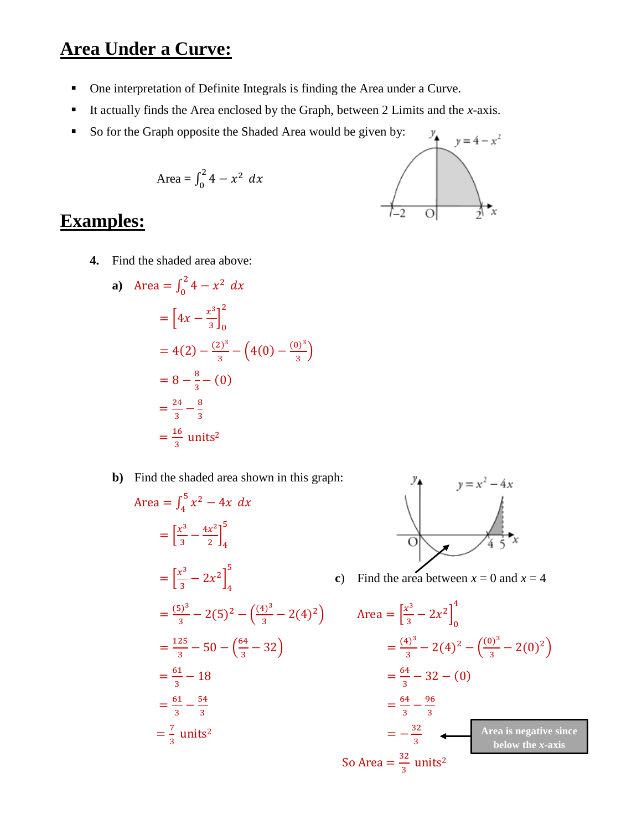# **Area Under a Curve:**

- One interpretation of Definite Integrals is finding the Area under a Curve.
- It actually finds the Area enclosed by the Graph, between 2 Limits and the  $x$ -axis.
- So for the Graph opposite the Shaded Area would be given by:

$$
Area = \int_0^2 4 - x^2 dx
$$



# **Examples:**

**4.** Find the shaded area above:

a) Area = 
$$
\int_0^2 4 - x^2 dx
$$
  
\n=  $\left[ 4x - \frac{x^3}{3} \right]_0^2$   
\n=  $4(2) - \frac{(2)^3}{3} - (4(0) - \frac{(0)^3}{3})$   
\n=  $8 - \frac{8}{3} - (0)$   
\n=  $\frac{24}{3} - \frac{8}{3}$   
\n=  $\frac{16}{3}$  units<sup>2</sup>

**b)** Find the shaded area shown in this graph:

Area = 
$$
\int_{4}^{5} x^{2} - 4x \, dx
$$
  
\n= $\left[\frac{x^{3}}{3} - \frac{4x^{2}}{2}\right]_{4}^{5}$   
\n= $\left[\frac{x^{3}}{3} - 2x^{2}\right]_{4}^{5}$   
\n= $\left[\frac{5}{3} - 2x^{2}\right]_{4}^{5}$   
\n $= \frac{(5)^{3}}{3} - 2(5)^{2} - \left(\frac{(4)^{3}}{3} - 2(4)^{2}\right)$  Area =  $\left[\frac{x}{3}\right]$   
\n= $\frac{125}{3} - 50 - \left(\frac{64}{3} - 32\right)$   
\n= $\frac{64}{3} - 18$   
\n= $\frac{64}{3} - \frac{54}{3}$   
\n= $\frac{64}{3}$   
\n= $\frac{64}{3}$   
\n= $\frac{64}{3}$   
\n= $\frac{64}{3}$   
\n= $\frac{64}{3}$   
\n= $\frac{64}{3}$   
\n= $\frac{64}{3}$   
\n= $\frac{64}{3}$   
\n= $\frac{64}{3}$   
\n= $\frac{64}{3}$   
\n= $\frac{64}{3}$   
\n= $\frac{64}{3}$   
\n= $\frac{64}{3}$   
\n= $\frac{64}{3}$   
\n= $\frac{64}{3}$   
\n= $\frac{64}{3}$   
\n= $\frac{64}{3}$   
\n= $\frac{64}{3}$   
\n= $\frac{64}{3}$   
\n= $\frac{64}{3}$   
\n= $\frac{64}{3}$ 



**c**) Find the area between  $x = 0$  and  $x = 4$ 

$$
\begin{aligned}\n\text{Area} &= \left[\frac{x^3}{3} - 2x^2\right]_0^4 \\
&= \frac{(4)^3}{3} - 2(4)^2 - \left(\frac{(0)^3}{3} - 2(0)^2\right) \\
&= \frac{64}{3} - 32 - (0) \\
&= \frac{64}{3} - \frac{96}{3} \\
&= -\frac{32}{3} \quad \text{Area is negative since} \\
\text{So Area} &= \frac{32}{3} \text{ units}^2\n\end{aligned}
$$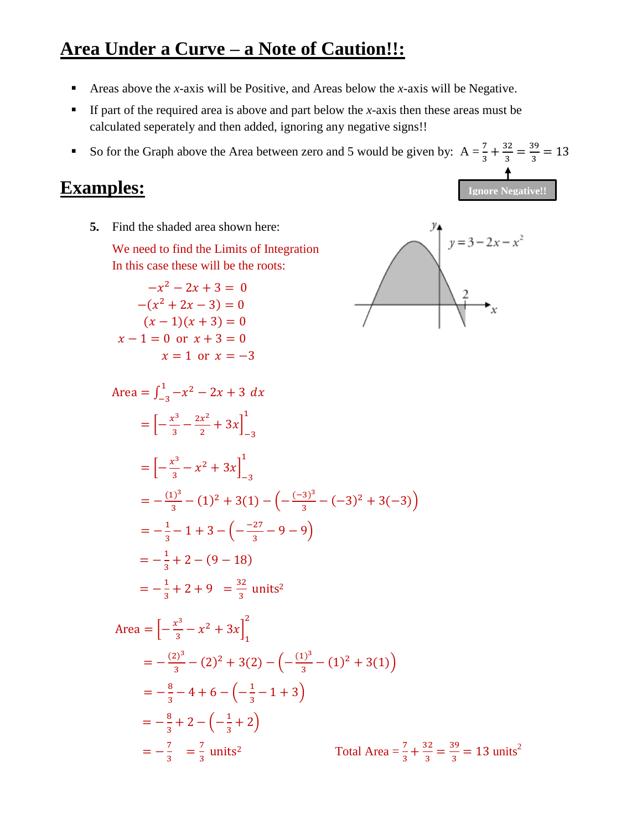# **Area Under a Curve – a Note of Caution!!:**

- Areas above the *x*-axis will be Positive, and Areas below the *x*-axis will be Negative.
- If part of the required area is above and part below the *x*-axis then these areas must be calculated seperately and then added, ignoring any negative signs!!
- So for the Graph above the Area between zero and 5 would be given by:  $A = \frac{7}{3} + \frac{32}{3}$  $\frac{32}{3} = \frac{39}{3}$  $\frac{55}{3}$  = 13

#### **Examples:**

**Ignore Negative!!**

**5.** Find the shaded area shown here:

We need to find the Limits of Integration In this case these will be the roots:

$$
-x2 - 2x + 3 = 0
$$
  
\n
$$
-(x2 + 2x - 3) = 0
$$
  
\n
$$
(x - 1)(x + 3) = 0
$$
  
\n
$$
x - 1 = 0 \text{ or } x + 3 = 0
$$
  
\n
$$
x = 1 \text{ or } x = -3
$$



Area = 
$$
\int_{-3}^{1} -x^2 - 2x + 3 dx
$$
  
\n= $\left[-\frac{x^3}{3} - \frac{2x^2}{2} + 3x\right]_{-3}^{1}$   
\n= $\left[-\frac{x^3}{3} - x^2 + 3x\right]_{-3}^{1}$   
\n= $\left[-\frac{(1)^3}{3} - (1)^2 + 3(1) - \left(-\frac{(-3)^3}{3} - (-3)^2 + 3(-3)\right)\right]$   
\n= $\left[-\frac{1}{3} - 1 + 3 - \left(-\frac{27}{3} - 9 - 9\right)\right]$   
\n= $\left[-\frac{1}{3} + 2 - (9 - 18)\right]$   
\n= $\left[-\frac{1}{3} + 2 + 9\right] = \frac{32}{3}$  units<sup>2</sup>

Area = 
$$
\left[-\frac{x^3}{3} - x^2 + 3x\right]_1^2
$$
  
\n=  $-\frac{(2)^3}{3} - (2)^2 + 3(2) - \left(-\frac{(1)^3}{3} - (1)^2 + 3(1)\right)$   
\n=  $-\frac{8}{3} - 4 + 6 - \left(-\frac{1}{3} - 1 + 3\right)$   
\n=  $-\frac{8}{3} + 2 - \left(-\frac{1}{3} + 2\right)$   
\n=  $-\frac{7}{3} = \frac{7}{3}$  units<sup>2</sup> Total Area =  $\frac{7}{3} + \frac{32}{3} = \frac{39}{3} = 13$  units<sup>2</sup>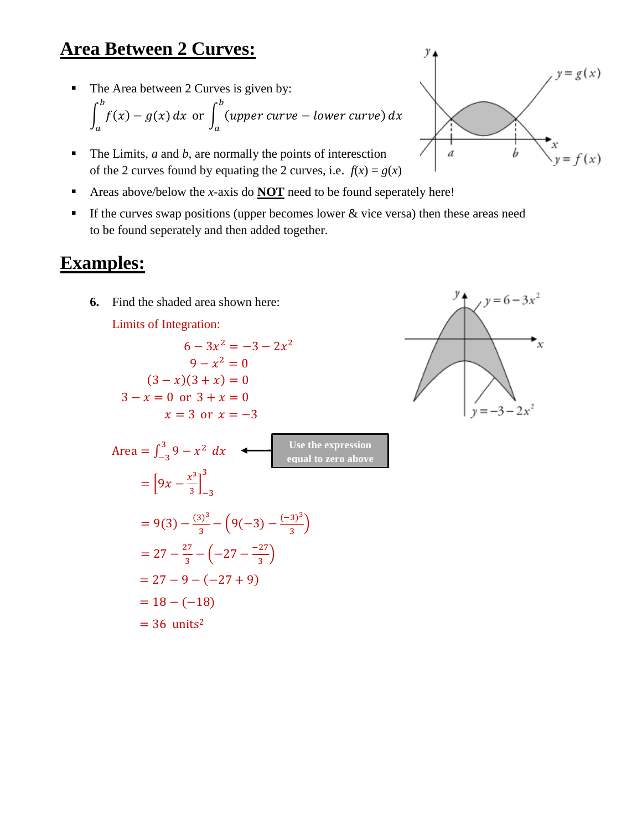# **Area Between 2 Curves:**

The Area between 2 Curves is given by:

$$
\int_{a}^{b} f(x) - g(x) dx \text{ or } \int_{a}^{b} (upper curve - lower curve) dx
$$

- $\blacksquare$  The Limits, *a* and *b*, are normally the points of interesction of the 2 curves found by equating the 2 curves, i.e.  $f(x) = g(x)$
- Areas above/below the *x*-axis do **NOT** need to be found seperately here!
- If the curves swap positions (upper becomes lower  $\&$  vice versa) then these areas need to be found seperately and then added together.

### **Examples:**

**6.** Find the shaded area shown here:

Limits of Integration:

$$
6-3x^2 = -3-2x^2
$$
  
\n
$$
9-x^2 = 0
$$
  
\n
$$
(3-x)(3+x) = 0
$$
  
\n
$$
3-x = 0 \text{ or } 3 + x = 0
$$
  
\n
$$
x = 3 \text{ or } x = -3
$$
  
\nArea =  $\int_{-3}^{3} 9 - x^2 dx$   
\n
$$
= \left[9x - \frac{x^3}{3}\right]_{-3}^{3}
$$
  
\n
$$
= 9(3) - \frac{(3)^3}{3} - \left(9(-3) - \frac{(-3)^3}{3}\right)
$$
  
\n
$$
= 27 - \frac{27}{3} - \left(-27 - \frac{-27}{3}\right)
$$
  
\n
$$
= 27 - 9 - (-27 + 9)
$$
  
\n
$$
= 18 - (-18)
$$
  
\n
$$
= 36 \text{ units}^2
$$



 $y = 6 - 3x^2$ 

 $y = -3 - 2x^2$ 

x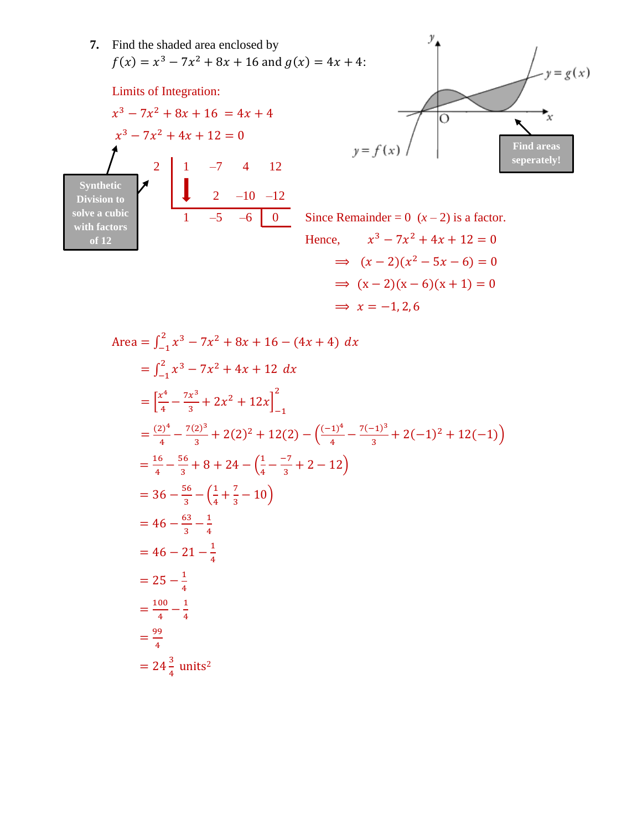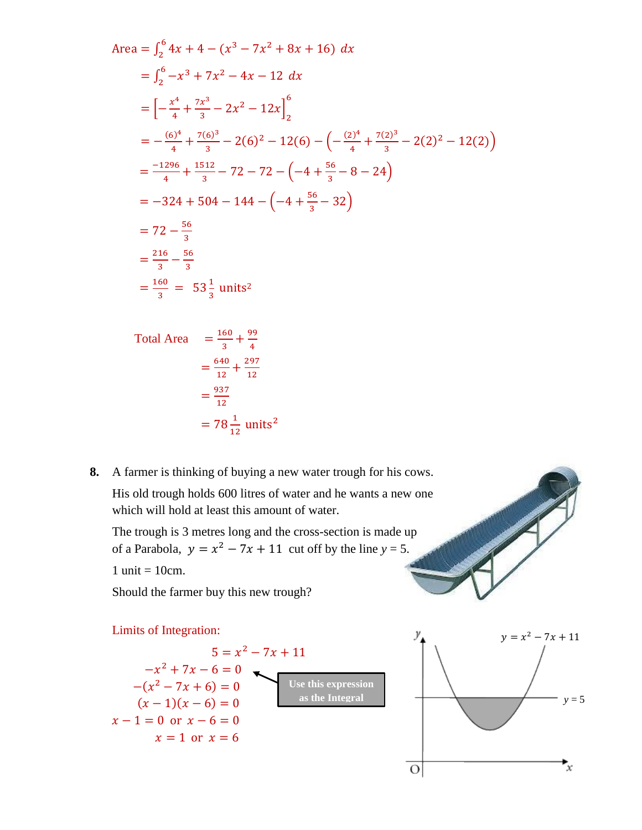Area = 
$$
\int_{2}^{6} 4x + 4 - (x^{3} - 7x^{2} + 8x + 16) dx
$$
  
\n=  $\int_{2}^{6} -x^{3} + 7x^{2} - 4x - 12 dx$   
\n=  $\left[ -\frac{x^{4}}{4} + \frac{7x^{3}}{3} - 2x^{2} - 12x \right]_{2}^{6}$   
\n=  $-\frac{(6)^{4}}{4} + \frac{7(6)^{3}}{3} - 2(6)^{2} - 12(6) - \left( -\frac{(2)^{4}}{4} + \frac{7(2)^{3}}{3} - 2(2)^{2} - 12(2) \right)$   
\n=  $\frac{-1296}{4} + \frac{1512}{3} - 72 - 72 - \left( -4 + \frac{56}{3} - 8 - 24 \right)$   
\n=  $-324 + 504 - 144 - \left( -4 + \frac{56}{3} - 32 \right)$   
\n=  $72 - \frac{56}{3}$   
\n=  $\frac{216}{3} - \frac{56}{3}$   
\n=  $\frac{160}{3} = 53\frac{1}{3}$  units<sup>2</sup>

Total Area 
$$
= \frac{160}{3} + \frac{99}{4}
$$

$$
= \frac{640}{12} + \frac{297}{12}
$$

$$
= \frac{937}{12}
$$

$$
= 78\frac{1}{12} \text{ units}^2
$$

**8.** A farmer is thinking of buying a new water trough for his cows. His old trough holds 600 litres of water and he wants a new one which will hold at least this amount of water.

The trough is 3 metres long and the cross-section is made up of a Parabola,  $y = x^2 - 7x + 11$  cut off by the line  $y = 5$ .

1 unit  $= 10$ cm.

Should the farmer buy this new trough?

#### Limits of Integration:  $y = x^2 - 7x + 11$  $5 = x^2 - 7x + 11$  $-x^2 + 7x - 6 = 0$ **Use this expression**   $-(x^2 - 7x + 6) = 0$ **as the Integral** $(x-1)(x-6) = 0$  $x - 1 = 0$  or  $x - 6 = 0$  $x = 1$  or  $x = 6$  $\overline{O}$

 $y = 5$ 

 $\mathbf{x}$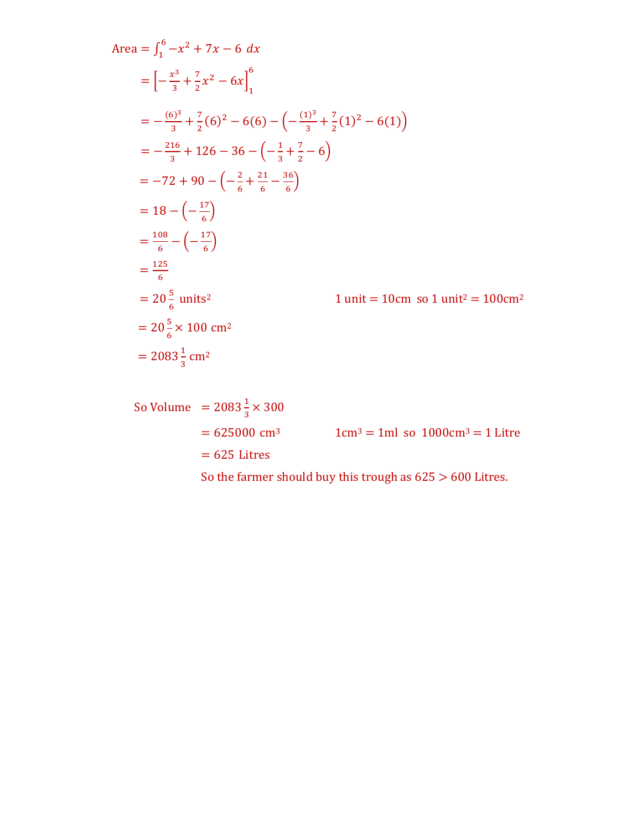Area = 
$$
\int_{1}^{6} -x^{2} + 7x - 6 dx
$$
  
\n= $\left[-\frac{x^{3}}{3} + \frac{7}{2}x^{2} - 6x\right]_{1}^{6}$   
\n= $-\frac{(6)^{3}}{3} + \frac{7}{2}(6)^{2} - 6(6) - \left(-\frac{(1)^{3}}{3} + \frac{7}{2}(1)^{2} - 6(1)\right)$   
\n= $-\frac{216}{3} + 126 - 36 - \left(-\frac{1}{3} + \frac{7}{2} - 6\right)$   
\n= $-72 + 90 - \left(-\frac{2}{6} + \frac{21}{6} - \frac{36}{6}\right)$   
\n=  $18 - \left(-\frac{17}{6}\right)$   
\n= $\frac{108}{6} - \left(-\frac{17}{6}\right)$   
\n= $\frac{125}{6}$   
\n=  $20\frac{5}{6}$  units<sup>2</sup>  
\n1 unit = 10cm so 1 unit<sup>2</sup> = 100cm<sup>2</sup>  
\n=  $20\frac{5}{6} \times 100$  cm<sup>2</sup>  
\n=  $2083\frac{1}{3}$  cm<sup>2</sup>

So Volume = 
$$
2083\frac{1}{3} \times 300
$$
  
= 625000 cm<sup>3</sup> 1cm<sup>3</sup> = 1ml so 1000cm<sup>3</sup> = 1 litre  
= 625 litres  
So the farmer should buy this trough as 625 > 600 litres.